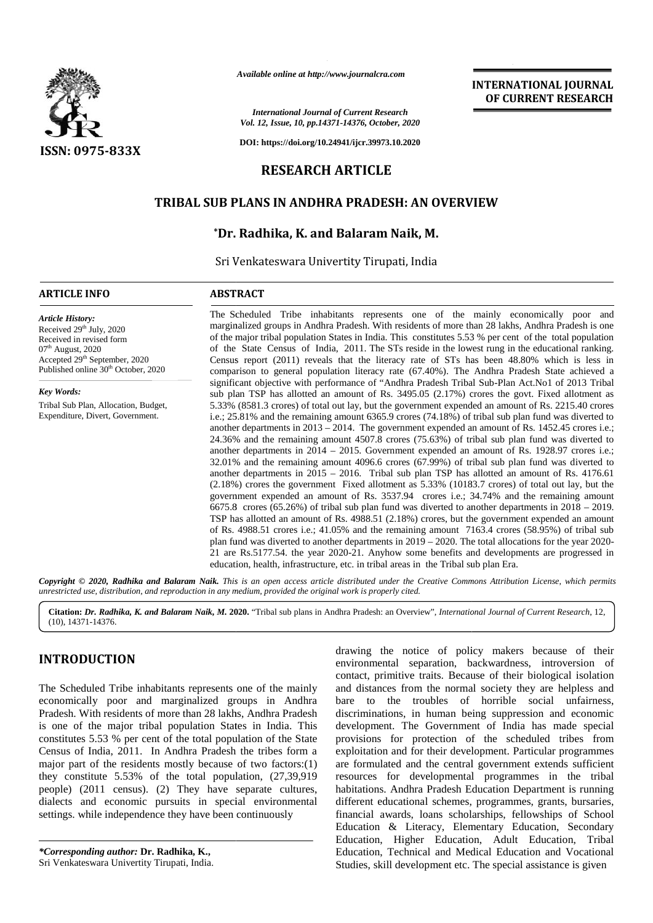

*Available online at http://www.journalcra.com*

*International Journal of Current Research Vol. 12, Issue, 10, pp.14371-14376, October, 2020*

**DOI: https://doi.org/10.24941/ijcr.39973.10.2020**

# **RESEARCH ARTICLE**

## **TRIBAL SUB PLANS IN ANDHRA PRADESH: AN OVERVIEW**

# **\*Dr. Radhika, K. and Balaram Naik, M. and Balaram**

Sri Venkateswara Univertity Tirupati, India

#### **ARTICLE INFO ABSTRACT ARTICLE ABSTRACT**

*Article History:* Received 29<sup>th</sup> July, 2020 Received in revised form 07<sup>th</sup> August, 2020 Received in revised form<br>07<sup>th</sup> August, 2020<br>Accepted 29<sup>th</sup> September, 2020 Published online 30<sup>th</sup> October, 2020

*Key Words:* Tribal Sub Plan, Allocation, Budget, Expenditure, Divert, Government.

The Scheduled Tribe inhabitants represents one of the mainly economically poor and marginalized groups in Andhra Pradesh. With residents of more than 28 lakhs, Andhra Pradesh is one of the major tribal population States in India. This constitutes 5.53 % per cent of the total population of the State Census of India, 2011. The STs reside in the lowest rung in the educational ranking. Census report (2011) reveals that the literacy rate of STs has been 48.80% which is less in The Scheduled Tribe inhabitants represents one of the mainly economically poor and<br>marginalized groups in Andhra Pradesh. With residents of more than 28 lakhs, Andhra Pradesh is one<br>of the major tribal population States in significant objective with performance of "Andhra Pradesh Tribal Sub-Plan Act.No1 of 2013 Tribal significant objective with performance of "Andhra Pradesh Tribal Sub-Plan Act.No1 of 2013 Tribal<br>sub plan TSP has allotted an amount of Rs. 3495.05 (2.17%) crores the govt. Fixed allotment as 5.33% (8581.3 crores) of total out lay, but the government expended an amount of Rs. 2215.40 crores i.e.; 25.81% and the remaining amount 6365.9 crores (74.18%) of tribal sub plan fund was diverted to another departments in 2013 – 2014. The government expended an amount of Rs. 1452.45 crores i.e.; 24.36% and the remaining amount 4507.8 crores (75.63%) of tribal sub plan fund was diverted to another departments in 2014 – 2015. Government expended an amount of Rs. 1928.97 crores i.e.; 32.01% and the remaining amount 4096.6 crores (67.99%) of tribal sub plan fund was diverted to another departments in 2015 – 2016. Tribal sub plan TSP has allotted an amount of Rs. 4176.61 (2.18%) crores the government Fixed allotment as 5.33% (10183.7 crores) of total out lay, but the government expended an amount of Rs. 3537.94 crores i.e.; 34.74% and the remaining amount 6675.8 crores (65.26%) of tribal sub plan fund was diverted to another departments in 2018 – 2019. TSP has allotted an amount of Rs. 4988.51 (2.18%) crores, but the government expended an amount of Rs. 4988.51 crores i.e.; 41.05% and the remaining amount 7163.4 crores (58.95%) of tribal sub plan fund was diverted to another departments in 2019 – 2020. The total allocations for the year 2020 of Rs. 4988.51 crores i.e.; 41.05% and the remaining amount 7163.4 crores (58.95%) of tribal sub<br>plan fund was diverted to another departments in 2019 – 2020. The total allocations for the year 2020-<br>21 are Rs.5177.54. the education, health, infrastructure, etc. in tribal areas in the Tribal sub plan Era. Tribal Sub Plan, Allocation, Budget,<br>
5.33% (8581.3 crores) of total out lay, but the government expended an amount of Rs. 2215.40 crores<br>
i.e.; 25.81% and the remaining amount 6365.9 crores (74.18%) of tribal sub plan fu TSP has allotted an amount of Rs. 4988.51 (2.18%) crores, but the government expended a of Rs. 4988.51 crores i.e.; 41.05% and the remaining amount 7163.4 crores (58.95%) of plan fund was diverted to another departments i THE CONSULTER CONTROL TO A CONSULTER CONSULTER CONSULTER CONSULTER CONSULTER CONSULTER CONSULTER CONSULTER CONSULTER CONSULTER CONSULTER CONSULTER CONSULTER CONSULTER CONSULTER CONSULTER CONSULTER CONSULTER CONSULTER CONS *Andiable online at Migrativews-journalcra.com*<br> *balt 22, Issue, 10, pp.14371-14376, October, 2020*<br> **and** *balt 12, Issue, 10, pp.14371-14376, October, 2020***<br>
<b>and** *Balt COPS*<br> **and** *Balt COPS*<br> **and** *Balt COPS*<br> **and INTERNATIONAL JOINTIME INTERNATIONAL SURFACES (Section 4 (Section 19) (Section 20) (Section 20) (Section 20) (Section 20) (Section 20) (Section 20) (SERVIEW RESIS (EU) (Section 20) (Section 20) (Section 20) (SERVIEW RESI** 

**INTERNATIONAL JOURNAL OF CURRENT RESEARCH**

Copyright © 2020, Radhika and Balaram Naik. This is an open access article distributed under the Creative Commons Attribution License, which permits unrestricted use, distribution, and reproduction in any medium, provided the original work is properly cited.

**Citation:** *Dr. Radhika, K. and Balaram Naik, M.* **2020.** "Tribal sub plans in Andhra Pradesh: an Overview", *International Journal of Current Research*, 12, (10), 14371-14376.

# **INTRODUCTION INTRODUCTION**

The Scheduled Tribe inhabitants represents one of the mainly economically poor and marginalized groups in Andhra Pradesh. With residents of more than 28 lakhs, Andhra Pradesh is one of the major tribal population States in India. This constitutes 5.53 % per cent of the total population of the State Census of India, 2011. In Andhra Pradesh the tribes form a major part of the residents mostly because of two factors:(1) they constitute 5.53% of the total population, (27,39,919 people) (2011 census). (2) They have separate cultures, dialects and economic pursuits in special environmental dialects and economic pursuits in special environmental settings. while independence they have been continuously The Scheduled Tribe inhabitants represents one of the mainly and economically poor and marginalized groups in Andhra bare Pradesh. With residents of more than 28 lakhs, Andhra Pradesh disc is one of the major tribal popula major part of the residents mostly because of two factors:(1) they constitute 5.53% of the total population, (27,39,919 people) (2011 census). (2) They have separate cultures,

*\*Corresponding author:* **Dr. Radhika, K.,** *\*Corresponding*  Sri Venkateswara Univertity Tirupati, India. drawing the notice of policy makers because of their environmental separation, backwardness, introversion of contact, primitive traits. Because of their biological isolation and distances from the normal society they are helpless and bare to the troubles of horrible social unfairness, discriminations, in human being suppression and economic development. The Government of India has made special provisions for protection of the scheduled tribes from exploitation and for their development. Particular programmes are formulated and the central government extends sufficient resources for developmental programmes in the tribal habitations. Andhra Pradesh Education Department is running different educational schemes, programmes, grants, bursaries, financial awards, loans scholarships, fellowships of School Education & Literacy, Elementary Education, Secondary Education, Higher Education, Adult Education, Tribal Education, Technical and Medical Education and Vocational Studies, skill development etc. The special assistance is given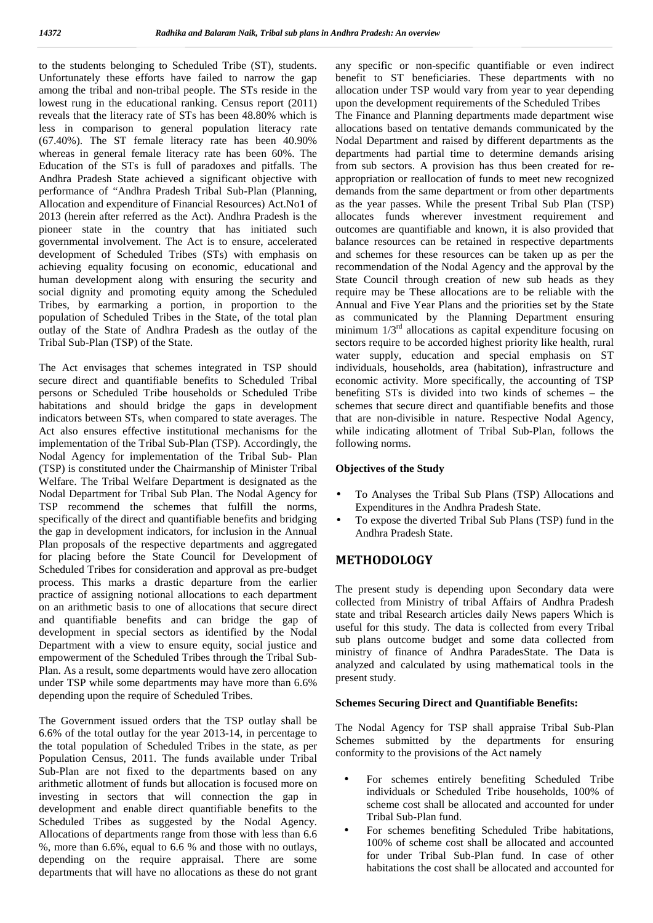to the students belonging to Scheduled Tribe (ST), students. Unfortunately these efforts have failed to narrow the gap among the tribal and non-tribal people. The STs reside in the lowest rung in the educational ranking. Census report (2011) reveals that the literacy rate of STs has been 48.80% which is less in comparison to general population literacy rate (67.40%). The ST female literacy rate has been 40.90% whereas in general female literacy rate has been 60%. The Education of the STs is full of paradoxes and pitfalls. The Andhra Pradesh State achieved a significant objective with performance of "Andhra Pradesh Tribal Sub-Plan (Planning, Allocation and expenditure of Financial Resources) Act.No1 of 2013 (herein after referred as the Act). Andhra Pradesh is the pioneer state in the country that has initiated such governmental involvement. The Act is to ensure, accelerated development of Scheduled Tribes (STs) with emphasis on achieving equality focusing on economic, educational and human development along with ensuring the security and social dignity and promoting equity among the Scheduled Tribes, by earmarking a portion, in proportion to the population of Scheduled Tribes in the State, of the total plan outlay of the State of Andhra Pradesh as the outlay of the Tribal Sub-Plan (TSP) of the State.

The Act envisages that schemes integrated in TSP should secure direct and quantifiable benefits to Scheduled Tribal persons or Scheduled Tribe households or Scheduled Tribe habitations and should bridge the gaps in development indicators between STs, when compared to state averages. The Act also ensures effective institutional mechanisms for the implementation of the Tribal Sub-Plan (TSP). Accordingly, the Nodal Agency for implementation of the Tribal Sub- Plan (TSP) is constituted under the Chairmanship of Minister Tribal Welfare. The Tribal Welfare Department is designated as the Nodal Department for Tribal Sub Plan. The Nodal Agency for TSP recommend the schemes that fulfill the norms, specifically of the direct and quantifiable benefits and bridging the gap in development indicators, for inclusion in the Annual Plan proposals of the respective departments and aggregated for placing before the State Council for Development of Scheduled Tribes for consideration and approval as pre-budget process. This marks a drastic departure from the earlier practice of assigning notional allocations to each department on an arithmetic basis to one of allocations that secure direct and quantifiable benefits and can bridge the gap of development in special sectors as identified by the Nodal Department with a view to ensure equity, social justice and empowerment of the Scheduled Tribes through the Tribal Sub- Plan. As a result, some departments would have zero allocation under TSP while some departments may have more than 6.6% depending upon the require of Scheduled Tribes.

The Government issued orders that the TSP outlay shall be 6.6% of the total outlay for the year 2013-14, in percentage to the total population of Scheduled Tribes in the state, as per Population Census, 2011. The funds available under Tribal Sub-Plan are not fixed to the departments based on any arithmetic allotment of funds but allocation is focused more on investing in sectors that will connection the gap in development and enable direct quantifiable benefits to the Scheduled Tribes as suggested by the Nodal Agency. Allocations of departments range from those with less than 6.6 %, more than 6.6%, equal to 6.6 % and those with no outlays, depending on the require appraisal. There are some departments that will have no allocations as these do not grant any specific or non-specific quantifiable or even indirect benefit to ST beneficiaries. These departments with no allocation under TSP would vary from year to year depending upon the development requirements of the Scheduled Tribes

The Finance and Planning departments made department wise allocations based on tentative demands communicated by the Nodal Department and raised by different departments as the departments had partial time to determine demands arising from sub sectors. A provision has thus been created for re appropriation or reallocation of funds to meet new recognized demands from the same department or from other departments as the year passes. While the present Tribal Sub Plan (TSP) allocates funds wherever investment requirement and outcomes are quantifiable and known, it is also provided that balance resources can be retained in respective departments and schemes for these resources can be taken up as per the recommendation of the Nodal Agency and the approval by the State Council through creation of new sub heads as they require may be These allocations are to be reliable with the Annual and Five Year Plans and the priorities set by the State as communicated by the Planning Department ensuring minimum  $1/3<sup>rd</sup>$  allocations as capital expenditure focusing on sectors require to be accorded highest priority like health, rural water supply, education and special emphasis on ST individuals, households, area (habitation), infrastructure and economic activity. More specifically, the accounting of TSP benefiting STs is divided into two kinds of schemes – the schemes that secure direct and quantifiable benefits and those that are non-divisible in nature. Respective Nodal Agency, while indicating allotment of Tribal Sub-Plan, follows the following norms.

## **Objectives of the Study**

- To Analyses the Tribal Sub Plans (TSP) Allocations and Expenditures in the Andhra Pradesh State.
- To expose the diverted Tribal Sub Plans (TSP) fund in the Andhra Pradesh State.

# **METHODOLOGY**

The present study is depending upon Secondary data were collected from Ministry of tribal Affairs of Andhra Pradesh state and tribal Research articles daily News papers Which is useful for this study. The data is collected from every Tribal sub plans outcome budget and some data collected from ministry of finance of Andhra ParadesState. The Data is analyzed and calculated by using mathematical tools in the present study.

### **Schemes Securing Direct and Quantifiable Benefits:**

The Nodal Agency for TSP shall appraise Tribal Sub-Plan Schemes submitted by the departments for ensuring conformity to the provisions of the Act namely

- For schemes entirely benefiting Scheduled Tribe individuals or Scheduled Tribe households, 100% of scheme cost shall be allocated and accounted for under Tribal Sub-Plan fund.
- For schemes benefiting Scheduled Tribe habitations, 100% of scheme cost shall be allocated and accounted for under Tribal Sub-Plan fund. In case of other habitations the cost shall be allocated and accounted for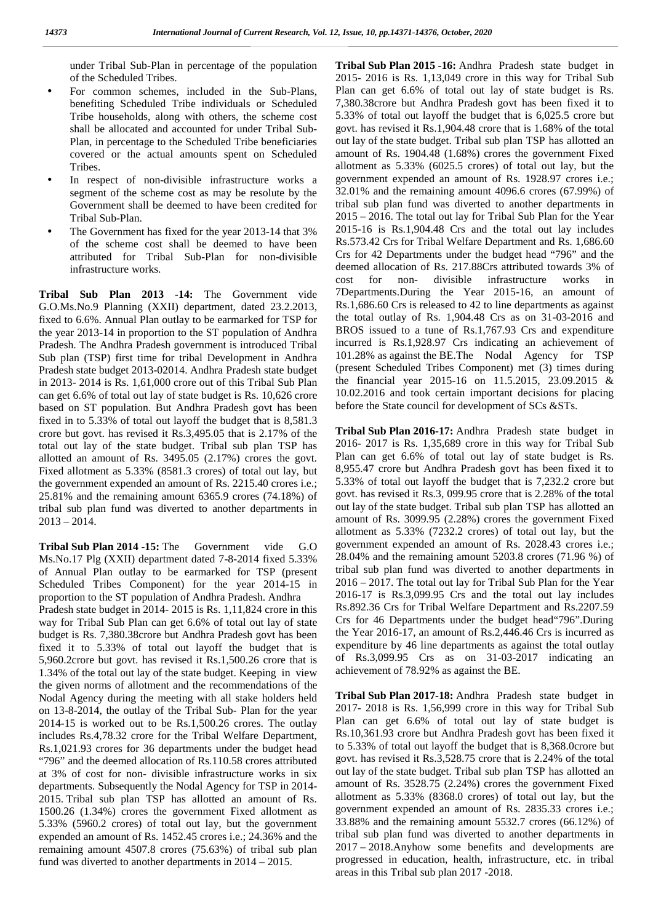under Tribal Sub-Plan in percentage of the population of the Scheduled Tribes.

- For common schemes, included in the Sub-Plans, benefiting Scheduled Tribe individuals or Scheduled Tribe households, along with others, the scheme cost shall be allocated and accounted for under Tribal Sub- Plan, in percentage to the Scheduled Tribe beneficiaries covered or the actual amounts spent on Scheduled Tribes.
- In respect of non-divisible infrastructure works a segment of the scheme cost as may be resolute by the Government shall be deemed to have been credited for Tribal Sub-Plan.
- The Government has fixed for the year 2013-14 that 3% of the scheme cost shall be deemed to have been attributed for Tribal Sub-Plan for non-divisible infrastructure works.

**Tribal Sub Plan 2013 -14:** The Government vide G.O.Ms.No.9 Planning (XXII) department, dated 23.2.2013, fixed to 6.6%. Annual Plan outlay to be earmarked for TSP for the year 2013-14 in proportion to the ST population of Andhra Pradesh. The Andhra Pradesh government is introduced Tribal Sub plan (TSP) first time for tribal Development in Andhra Pradesh state budget 2013-02014. Andhra Pradesh state budget in 2013- 2014 is Rs. 1,61,000 crore out of this Tribal Sub Plan can get 6.6% of total out lay of state budget is Rs. 10,626 crore based on ST population. But Andhra Pradesh govt has been fixed in to 5.33% of total out layoff the budget that is 8,581.3 crore but govt. has revised it Rs.3,495.05 that is 2.17% of the total out lay of the state budget. Tribal sub plan TSP has allotted an amount of Rs. 3495.05 (2.17%) crores the govt. Fixed allotment as 5.33% (8581.3 crores) of total out lay, but the government expended an amount of Rs. 2215.40 crores i.e.; 25.81% and the remaining amount 6365.9 crores (74.18%) of tribal sub plan fund was diverted to another departments in  $2013 - 2014.$ 

**Tribal Sub Plan 2014 -15:** The Government vide G.O Ms.No.17 Plg (XXII) department dated 7-8-2014 fixed 5.33% of Annual Plan outlay to be earmarked for TSP (present Scheduled Tribes Component) for the year 2014-15 in proportion to the ST population of Andhra Pradesh. Andhra Pradesh state budget in 2014- 2015 is Rs. 1,11,824 crore in this way for Tribal Sub Plan can get 6.6% of total out lay of state budget is Rs. 7,380.38crore but Andhra Pradesh govt has been fixed it to 5.33% of total out layoff the budget that is 5,960.2crore but govt. has revised it Rs.1,500.26 crore that is 1.34% of the total out lay of the state budget. Keeping in view the given norms of allotment and the recommendations of the Nodal Agency during the meeting with all stake holders held on 13-8-2014, the outlay of the Tribal Sub- Plan for the year 2014-15 is worked out to be Rs.1,500.26 crores. The outlay includes Rs.4,78.32 crore for the Tribal Welfare Department, Rs.1,021.93 crores for 36 departments under the budget head "796" and the deemed allocation of Rs.110.58 crores attributed at 3% of cost for non- divisible infrastructure works in six departments. Subsequently the Nodal Agency for TSP in 2014- 2015. Tribal sub plan TSP has allotted an amount of Rs. 1500.26 (1.34%) crores the government Fixed allotment as 5.33% (5960.2 crores) of total out lay, but the government expended an amount of Rs. 1452.45 crores i.e.; 24.36% and the remaining amount 4507.8 crores (75.63%) of tribal sub plan fund was diverted to another departments in 2014 – 2015.

**Tribal Sub Plan 2015 -16:** Andhra Pradesh state budget in 2015- 2016 is Rs. 1,13,049 crore in this way for Tribal Sub Plan can get 6.6% of total out lay of state budget is Rs. 7,380.38crore but Andhra Pradesh govt has been fixed it to 5.33% of total out layoff the budget that is 6,025.5 crore but govt. has revised it Rs.1,904.48 crore that is 1.68% of the total out lay of the state budget. Tribal sub plan TSP has allotted an amount of Rs. 1904.48 (1.68%) crores the government Fixed allotment as 5.33% (6025.5 crores) of total out lay, but the government expended an amount of Rs. 1928.97 crores i.e.; 32.01% and the remaining amount 4096.6 crores (67.99%) of tribal sub plan fund was diverted to another departments in 2015 – 2016. The total out lay for Tribal Sub Plan for the Year 2015-16 is Rs.1,904.48 Crs and the total out lay includes Rs.573.42 Crs for Tribal Welfare Department and Rs. 1,686.60 Crs for 42 Departments under the budget head "796" and the deemed allocation of Rs. 217.88Crs attributed towards 3% of cost for non- divisible infrastructure works in 7Departments.During the Year 2015-16, an amount of Rs.1,686.60 Crs is released to 42 to line departments as against the total outlay of Rs. 1,904.48 Crs as on 31-03-2016 and BROS issued to a tune of Rs.1,767.93 Crs and expenditure incurred is Rs.1,928.97 Crs indicating an achievement of 101.28% as against the BE.The Nodal Agency for TSP (present Scheduled Tribes Component) met (3) times during the financial year 2015-16 on 11.5.2015, 23.09.2015 & 10.02.2016 and took certain important decisions for placing before the State council for development of SCs &STs.

**Tribal Sub Plan 2016-17:** Andhra Pradesh state budget in 2016- 2017 is Rs. 1,35,689 crore in this way for Tribal Sub Plan can get 6.6% of total out lay of state budget is Rs. 8,955.47 crore but Andhra Pradesh govt has been fixed it to 5.33% of total out layoff the budget that is 7,232.2 crore but govt. has revised it Rs.3, 099.95 crore that is 2.28% of the total out lay of the state budget. Tribal sub plan TSP has allotted an amount of Rs. 3099.95 (2.28%) crores the government Fixed allotment as 5.33% (7232.2 crores) of total out lay, but the government expended an amount of Rs. 2028.43 crores i.e.; 28.04% and the remaining amount 5203.8 crores (71.96 %) of tribal sub plan fund was diverted to another departments in 2016 – 2017. The total out lay for Tribal Sub Plan for the Year 2016-17 is Rs.3,099.95 Crs and the total out lay includes Rs.892.36 Crs for Tribal Welfare Department and Rs.2207.59 Crs for 46 Departments under the budget head"796".During the Year 2016-17, an amount of Rs.2,446.46 Crs is incurred as expenditure by 46 line departments as against the total outlay of Rs.3,099.95 Crs as on 31-03-2017 indicating an achievement of 78.92% as against the BE.

**Tribal Sub Plan 2017-18:** Andhra Pradesh state budget in 2017- 2018 is Rs. 1,56,999 crore in this way for Tribal Sub Plan can get 6.6% of total out lay of state budget is Rs.10,361.93 crore but Andhra Pradesh govt has been fixed it to 5.33% of total out layoff the budget that is 8,368.0crore but govt. has revised it Rs.3,528.75 crore that is 2.24% of the total out lay of the state budget. Tribal sub plan TSP has allotted an amount of Rs. 3528.75 (2.24%) crores the government Fixed allotment as 5.33% (8368.0 crores) of total out lay, but the government expended an amount of Rs. 2835.33 crores i.e.; 33.88% and the remaining amount 5532.7 crores (66.12%) of tribal sub plan fund was diverted to another departments in 2017 – 2018.Anyhow some benefits and developments are progressed in education, health, infrastructure, etc. in tribal areas in this Tribal sub plan 2017 -2018.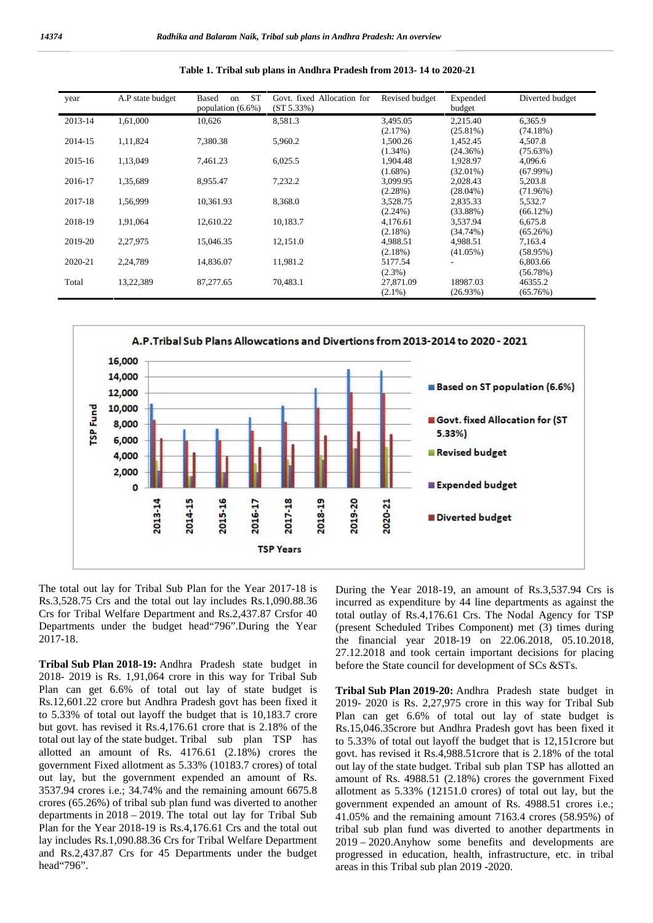| year    | A.P state budget | ST<br>Based<br>on<br>population $(6.6\%)$ | Govt. fixed Allocation for<br>(ST 5.33%) | Revised budget | Expended<br>budget | Diverted budget |
|---------|------------------|-------------------------------------------|------------------------------------------|----------------|--------------------|-----------------|
| 2013-14 | 1,61,000         | 10,626                                    | 8,581.3                                  | 3,495.05       | 2,215.40           | 6.365.9         |
|         |                  |                                           |                                          | (2.17%)        | $(25.81\%)$        | (74.18%)        |
| 2014-15 | 1,11,824         | 7,380.38                                  | 5,960.2                                  | 1,500.26       | 1,452.45           | 4,507.8         |
|         |                  |                                           |                                          | $(1.34\%)$     | (24.36%)           | (75.63%)        |
| 2015-16 | 1,13,049         | 7.461.23                                  | 6,025.5                                  | 1.904.48       | 1,928.97           | 4.096.6         |
|         |                  |                                           |                                          | $(1.68\%)$     | $(32.01\%)$        | $(67.99\%)$     |
| 2016-17 | 1,35,689         | 8,955.47                                  | 7,232.2                                  | 3,099.95       | 2,028.43           | 5,203.8         |
|         |                  |                                           |                                          | $(2.28\%)$     | $(28.04\%)$        | (71.96%)        |
| 2017-18 | 1,56,999         | 10.361.93                                 | 8,368.0                                  | 3,528.75       | 2,835.33           | 5,532.7         |
|         |                  |                                           |                                          | $(2.24\%)$     | $(33.88\%)$        | (66.12%)        |
| 2018-19 | 1,91,064         | 12.610.22                                 | 10,183.7                                 | 4,176.61       | 3,537.94           | 6,675.8         |
|         |                  |                                           |                                          | $(2.18\%)$     | $(34.74\%)$        | (65.26%)        |
| 2019-20 | 2,27,975         | 15,046.35                                 | 12,151.0                                 | 4,988.51       | 4.988.51           | 7,163.4         |
|         |                  |                                           |                                          | $(2.18\%)$     | $(41.05\%)$        | (58.95%)        |
| 2020-21 | 2,24,789         | 14.836.07                                 | 11,981.2                                 | 5177.54        |                    | 6,803.66        |
|         |                  |                                           |                                          | $(2.3\%)$      |                    | (56.78%)        |
| Total   | 13,22,389        | 87,277.65                                 | 70,483.1                                 | 27,871.09      | 18987.03           | 46355.2         |
|         |                  |                                           |                                          | $(2.1\%)$      | (26.93%)           | (65.76%)        |





The total out lay for Tribal Sub Plan for the Year 2017-18 is Rs.3,528.75 Crs and the total out lay includes Rs.1,090.88.36 Crs for Tribal Welfare Department and Rs.2,437.87 Crsfor 40 Departments under the budget head"796".During the Year 2017-18.

**Tribal Sub Plan 2018-19:** Andhra Pradesh state budget in 2018- 2019 is Rs. 1,91,064 crore in this way for Tribal Sub Plan can get 6.6% of total out lay of state budget is Rs.12,601.22 crore but Andhra Pradesh govt has been fixed it to 5.33% of total out layoff the budget that is 10,183.7 crore but govt. has revised it Rs.4,176.61 crore that is 2.18% of the total out lay of the state budget. Tribal sub plan TSP has allotted an amount of Rs. 4176.61 (2.18%) crores the government Fixed allotment as 5.33% (10183.7 crores) of total out lay, but the government expended an amount of Rs. 3537.94 crores i.e.; 34.74% and the remaining amount 6675.8 crores (65.26%) of tribal sub plan fund was diverted to another departments in 2018 – 2019. The total out lay for Tribal Sub Plan for the Year 2018-19 is Rs.4,176.61 Crs and the total out lay includes Rs.1,090.88.36 Crs for Tribal Welfare Department and Rs.2,437.87 Crs for 45 Departments under the budget head"796".

During the Year 2018-19, an amount of Rs.3,537.94 Crs is incurred as expenditure by 44 line departments as against the total outlay of Rs.4,176.61 Crs. The Nodal Agency for TSP (present Scheduled Tribes Component) met (3) times during the financial year 2018-19 on 22.06.2018, 05.10.2018, 27.12.2018 and took certain important decisions for placing before the State council for development of SCs &STs.

**Tribal Sub Plan 2019-20:** Andhra Pradesh state budget in 2019- 2020 is Rs. 2,27,975 crore in this way for Tribal Sub Plan can get 6.6% of total out lay of state budget is Rs.15,046.35crore but Andhra Pradesh govt has been fixed it to 5.33% of total out layoff the budget that is 12,151crore but govt. has revised it Rs.4,988.51crore that is 2.18% of the total out lay of the state budget. Tribal sub plan TSP has allotted an amount of Rs. 4988.51 (2.18%) crores the government Fixed allotment as 5.33% (12151.0 crores) of total out lay, but the government expended an amount of Rs. 4988.51 crores i.e.; 41.05% and the remaining amount 7163.4 crores (58.95%) of tribal sub plan fund was diverted to another departments in 2019 – 2020.Anyhow some benefits and developments are progressed in education, health, infrastructure, etc. in tribal areas in this Tribal sub plan 2019 -2020.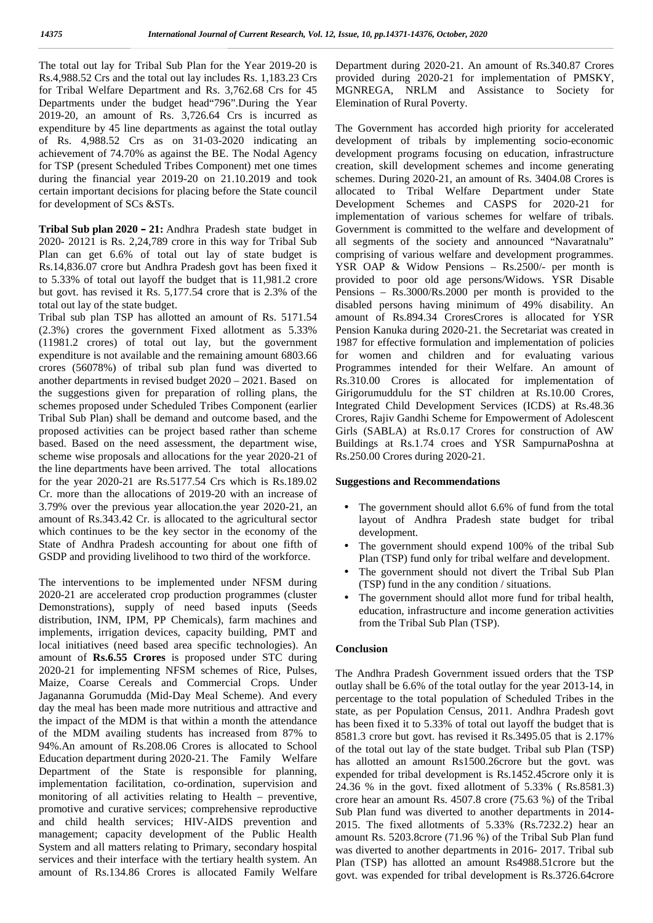The total out lay for Tribal Sub Plan for the Year 2019-20 is Rs.4,988.52 Crs and the total out lay includes Rs. 1,183.23 Crs for Tribal Welfare Department and Rs. 3,762.68 Crs for 45 Departments under the budget head"796".During the Year 2019-20, an amount of Rs. 3,726.64 Crs is incurred as expenditure by 45 line departments as against the total outlay of Rs. 4,988.52 Crs as on 31-03-2020 indicating an achievement of 74.70% as against the BE. The Nodal Agency for TSP (present Scheduled Tribes Component) met one times during the financial year 2019-20 on 21.10.2019 and took certain important decisions for placing before the State council for development of SCs &STs.

**Tribal Sub plan 2020 – 21:** Andhra Pradesh state budget in 2020- 20121 is Rs. 2,24,789 crore in this way for Tribal Sub Plan can get 6.6% of total out lay of state budget is Rs.14,836.07 crore but Andhra Pradesh govt has been fixed it to 5.33% of total out layoff the budget that is 11,981.2 crore but govt. has revised it Rs. 5,177.54 crore that is 2.3% of the total out lay of the state budget.

Tribal sub plan TSP has allotted an amount of Rs. 5171.54 (2.3%) crores the government Fixed allotment as 5.33% (11981.2 crores) of total out lay, but the government expenditure is not available and the remaining amount 6803.66 crores (56078%) of tribal sub plan fund was diverted to another departments in revised budget 2020 – 2021. Based on the suggestions given for preparation of rolling plans, the schemes proposed under Scheduled Tribes Component (earlier Tribal Sub Plan) shall be demand and outcome based, and the proposed activities can be project based rather than scheme based. Based on the need assessment, the department wise, scheme wise proposals and allocations for the year 2020-21 of the line departments have been arrived. The total allocations for the year 2020-21 are Rs.5177.54 Crs which is Rs.189.02 Cr. more than the allocations of 2019-20 with an increase of 3.79% over the previous year allocation.the year 2020-21, an amount of Rs.343.42 Cr. is allocated to the agricultural sector which continues to be the key sector in the economy of the State of Andhra Pradesh accounting for about one fifth of GSDP and providing livelihood to two third of the workforce.

The interventions to be implemented under NFSM during 2020-21 are accelerated crop production programmes (cluster Demonstrations), supply of need based inputs (Seeds distribution, INM, IPM, PP Chemicals), farm machines and implements, irrigation devices, capacity building, PMT and local initiatives (need based area specific technologies). An amount of **Rs.6.55 Crores** is proposed under STC during 2020-21 for implementing NFSM schemes of Rice, Pulses, Maize, Coarse Cereals and Commercial Crops. Under Jagananna Gorumudda (Mid-Day Meal Scheme). And every day the meal has been made more nutritious and attractive and the impact of the MDM is that within a month the attendance of the MDM availing students has increased from 87% to 94%.An amount of Rs.208.06 Crores is allocated to School Education department during 2020-21. The Family Welfare Department of the State is responsible for planning, implementation facilitation, co-ordination, supervision and monitoring of all activities relating to Health – preventive, promotive and curative services; comprehensive reproductive and child health services; HIV-AIDS prevention and management; capacity development of the Public Health System and all matters relating to Primary, secondary hospital services and their interface with the tertiary health system. An amount of Rs.134.86 Crores is allocated Family Welfare

Department during 2020-21. An amount of Rs.340.87 Crores provided during 2020-21 for implementation of PMSKY, MGNREGA, NRLM and Assistance to Society for Elemination of Rural Poverty.

The Government has accorded high priority for accelerated development of tribals by implementing socio-economic development programs focusing on education, infrastructure creation, skill development schemes and income generating schemes. During 2020-21, an amount of Rs. 3404.08 Crores is allocated to Tribal Welfare Department under State Development Schemes and CASPS for 2020-21 for implementation of various schemes for welfare of tribals. Government is committed to the welfare and development of all segments of the society and announced "Navaratnalu" comprising of various welfare and development programmes. YSR OAP & Widow Pensions – Rs.2500/- per month is provided to poor old age persons/Widows. YSR Disable Pensions – Rs.3000/Rs.2000 per month is provided to the disabled persons having minimum of 49% disability. An amount of Rs.894.34 CroresCrores is allocated for YSR Pension Kanuka during 2020-21. the Secretariat was created in 1987 for effective formulation and implementation of policies for women and children and for evaluating various Programmes intended for their Welfare. An amount of Rs.310.00 Crores is allocated for implementation of Girigorumuddulu for the ST children at Rs.10.00 Crores, Integrated Child Development Services (ICDS) at Rs.48.36 Crores, Rajiv Gandhi Scheme for Empowerment of Adolescent Girls (SABLA) at Rs.0.17 Crores for construction of AW Buildings at Rs.1.74 croes and YSR SampurnaPoshna at Rs.250.00 Crores during 2020-21.

## **Suggestions and Recommendations**

- The government should allot 6.6% of fund from the total layout of Andhra Pradesh state budget for tribal development.
- The government should expend 100% of the tribal Sub Plan (TSP) fund only for tribal welfare and development.
- The government should not divert the Tribal Sub Plan (TSP) fund in the any condition / situations.
- The government should allot more fund for tribal health, education, infrastructure and income generation activities from the Tribal Sub Plan (TSP).

#### **Conclusion**

The Andhra Pradesh Government issued orders that the TSP outlay shall be 6.6% of the total outlay for the year 2013-14, in percentage to the total population of Scheduled Tribes in the state, as per Population Census, 2011. Andhra Pradesh govt has been fixed it to 5.33% of total out layoff the budget that is 8581.3 crore but govt. has revised it Rs.3495.05 that is 2.17% of the total out lay of the state budget. Tribal sub Plan (TSP) has allotted an amount Rs1500.26crore but the govt. was expended for tribal development is Rs.1452.45crore only it is 24.36 % in the govt. fixed allotment of 5.33% ( Rs.8581.3) crore hear an amount Rs. 4507.8 crore (75.63 %) of the Tribal Sub Plan fund was diverted to another departments in 2014- 2015. The fixed allotments of 5.33% (Rs.7232.2) hear an amount Rs. 5203.8crore (71.96 %) of the Tribal Sub Plan fund was diverted to another departments in 2016- 2017. Tribal sub Plan (TSP) has allotted an amount Rs4988.51crore but the govt. was expended for tribal development is Rs.3726.64crore